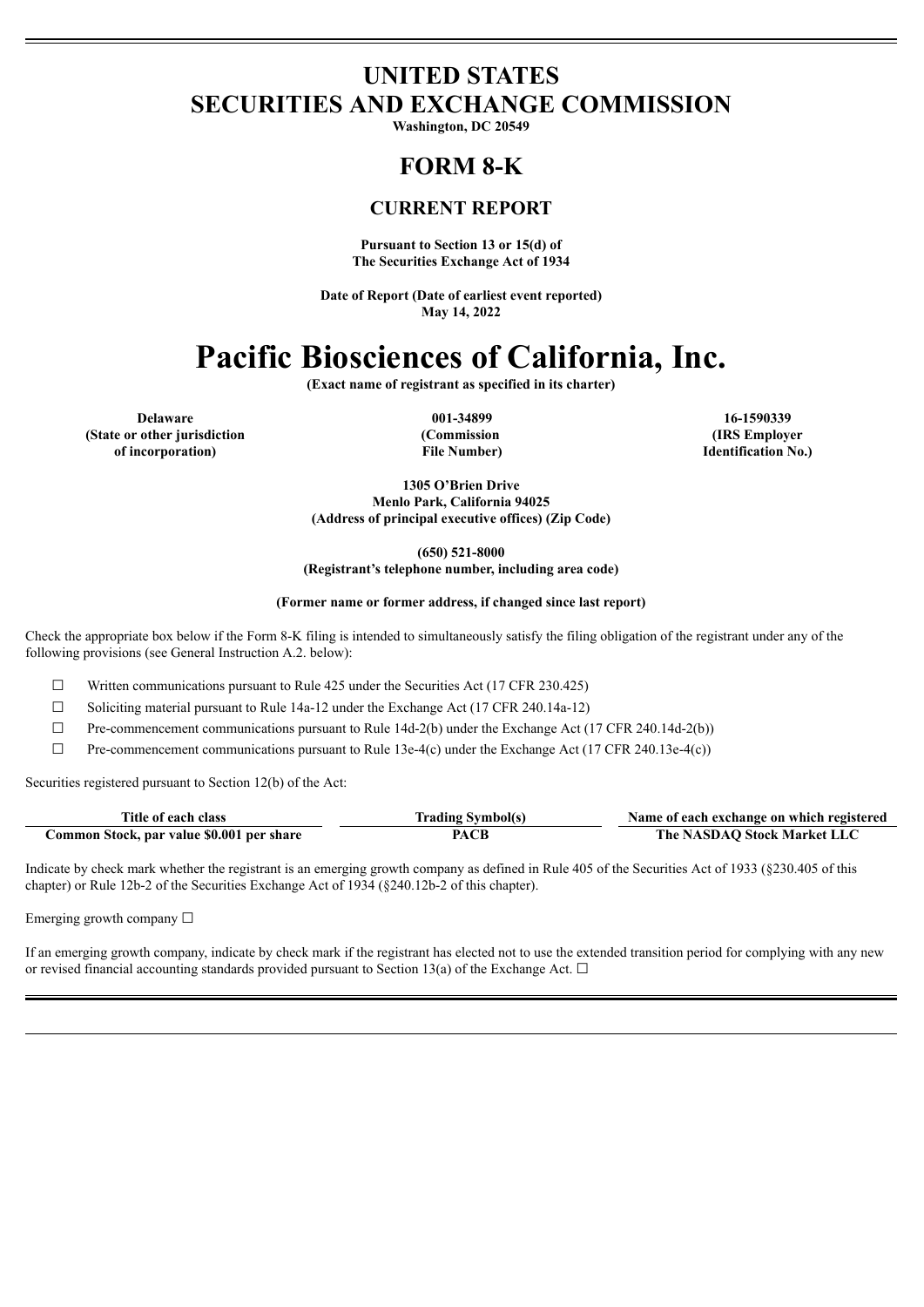## **UNITED STATES SECURITIES AND EXCHANGE COMMISSION**

**Washington, DC 20549**

# **FORM 8-K**

## **CURRENT REPORT**

**Pursuant to Section 13 or 15(d) of The Securities Exchange Act of 1934**

**Date of Report (Date of earliest event reported) May 14, 2022**

# **Pacific Biosciences of California, Inc.**

**(Exact name of registrant as specified in its charter)**

**Delaware 001-34899 16-1590339 (State or other jurisdiction of incorporation)**

**(Commission File Number)**

**(IRS Employer Identification No.)**

**1305 O'Brien Drive Menlo Park, California 94025 (Address of principal executive offices) (Zip Code)**

**(650) 521-8000**

**(Registrant's telephone number, including area code)**

#### **(Former name or former address, if changed since last report)**

Check the appropriate box below if the Form 8-K filing is intended to simultaneously satisfy the filing obligation of the registrant under any of the following provisions (see General Instruction A.2. below):

 $\Box$  Written communications pursuant to Rule 425 under the Securities Act (17 CFR 230.425)

☐ Soliciting material pursuant to Rule 14a-12 under the Exchange Act (17 CFR 240.14a-12)

 $\Box$  Pre-commencement communications pursuant to Rule 14d-2(b) under the Exchange Act (17 CFR 240.14d-2(b))

 $\Box$  Pre-commencement communications pursuant to Rule 13e-4(c) under the Exchange Act (17 CFR 240.13e-4(c))

Securities registered pursuant to Section 12(b) of the Act:

| Title of each class                       | Trading Symbol(s) | Name of each exchange on which registered |
|-------------------------------------------|-------------------|-------------------------------------------|
| Common Stock, par value \$0.001 per share | PACB              | The NASDAO Stock Market LLC               |

Indicate by check mark whether the registrant is an emerging growth company as defined in Rule 405 of the Securities Act of 1933 (§230.405 of this chapter) or Rule 12b-2 of the Securities Exchange Act of 1934 (§240.12b-2 of this chapter).

Emerging growth company ☐

If an emerging growth company, indicate by check mark if the registrant has elected not to use the extended transition period for complying with any new or revised financial accounting standards provided pursuant to Section 13(a) of the Exchange Act.  $\Box$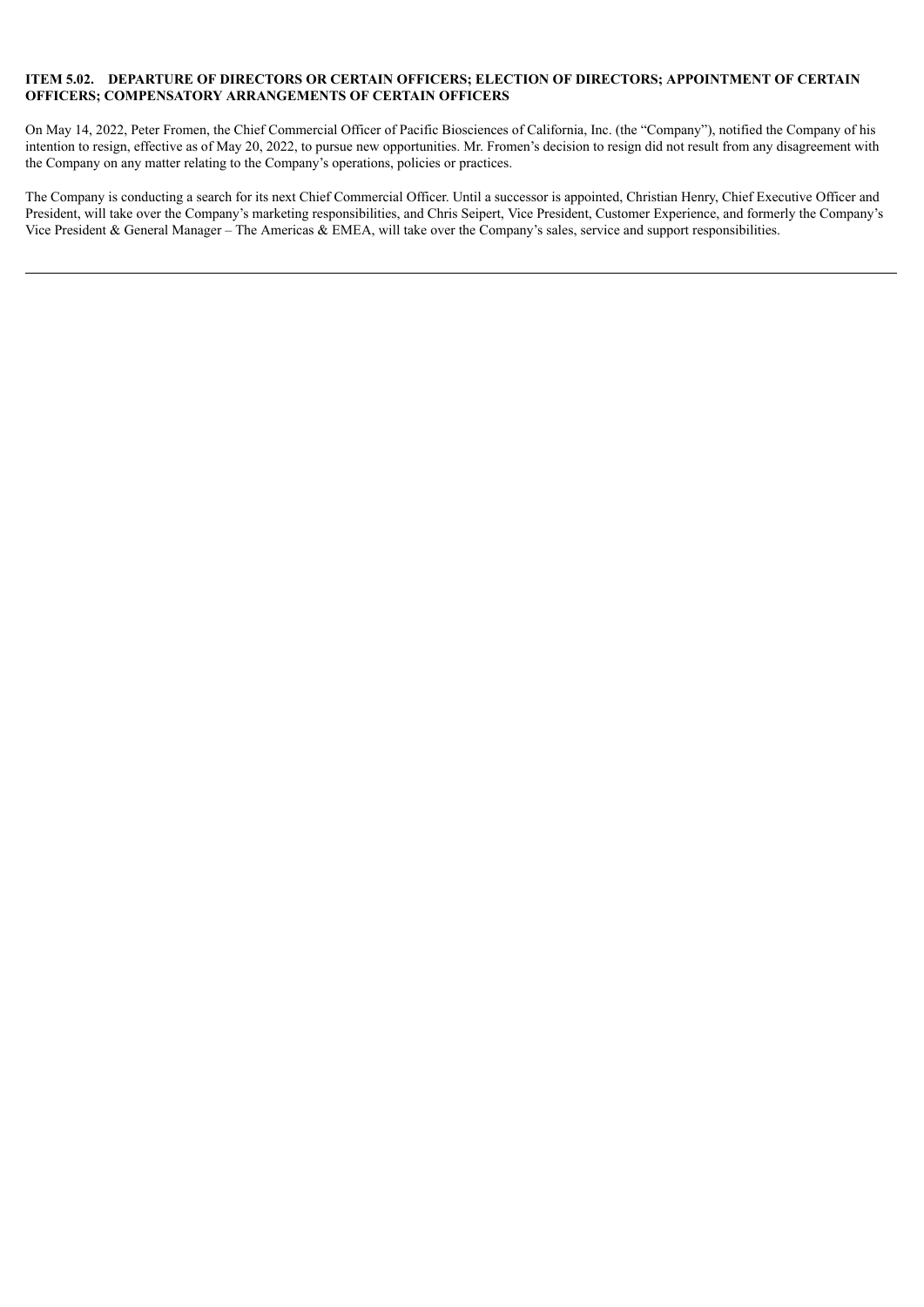#### **ITEM 5.02. DEPARTURE OF DIRECTORS OR CERTAIN OFFICERS; ELECTION OF DIRECTORS; APPOINTMENT OF CERTAIN OFFICERS; COMPENSATORY ARRANGEMENTS OF CERTAIN OFFICERS**

On May 14, 2022, Peter Fromen, the Chief Commercial Officer of Pacific Biosciences of California, Inc. (the "Company"), notified the Company of his intention to resign, effective as of May 20, 2022, to pursue new opportunities. Mr. Fromen's decision to resign did not result from any disagreement with the Company on any matter relating to the Company's operations, policies or practices.

The Company is conducting a search for its next Chief Commercial Officer. Until a successor is appointed, Christian Henry, Chief Executive Officer and President, will take over the Company's marketing responsibilities, and Chris Seipert, Vice President, Customer Experience, and formerly the Company's Vice President & General Manager – The Americas & EMEA, will take over the Company's sales, service and support responsibilities.